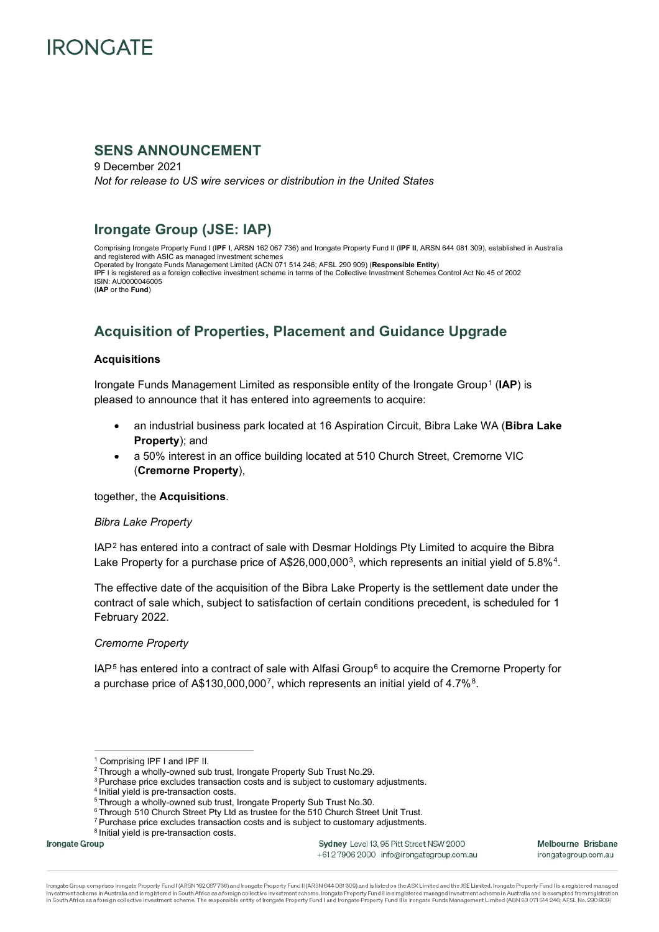

## **SENS ANNOUNCEMENT**

9 December 2021 *Not for release to US wire services or distribution in the United States*

## **Irongate Group (JSE: IAP)**

Comprising Irongate Property Fund I (**IPF I**, ARSN 162 067 736) and Irongate Property Fund II (**IPF II**, ARSN 644 081 309), established in Australia and registered with ASIC as managed investment schemes Operated by Irongate Funds Management Limited (ACN 071 514 246; AFSL 290 909) (**Responsible Entity**) IPF I is registered as a foreign collective investment scheme in terms of the Collective Investment Schemes Control Act No.45 of 2002 ISIN: AU0000046005 (**IAP** or the **Fund**)

# **Acquisition of Properties, Placement and Guidance Upgrade**

### **Acquisitions**

Irongate Funds Management Limited as responsible entity of the Irongate Group<sup>[1](#page-0-0)</sup> (IAP) is pleased to announce that it has entered into agreements to acquire:

- an industrial business park located at 16 Aspiration Circuit, Bibra Lake WA (**Bibra Lake Property**); and
- a 50% interest in an office building located at 510 Church Street, Cremorne VIC (**Cremorne Property**),

together, the **Acquisitions**.

#### *Bibra Lake Property*

IAP[2](#page-0-1) has entered into a contract of sale with Desmar Holdings Pty Limited to acquire the Bibra Lake Property for a purchase price of A\$26,000,000<sup>3</sup>, which represents an initial yield of 5.8%<sup>4</sup>.

The effective date of the acquisition of the Bibra Lake Property is the settlement date under the contract of sale which, subject to satisfaction of certain conditions precedent, is scheduled for 1 February 2022.

#### *Cremorne Property*

IAP<sup>[5](#page-0-4)</sup> has entered into a contract of sale with Alfasi Group<sup>[6](#page-0-5)</sup> to acquire the Cremorne Property for a purchase price of  $A$130,000,000^7$ , which represents an initial yield of 4.7%<sup>8</sup>.

<span id="page-0-7"></span><span id="page-0-6"></span><span id="page-0-5"></span><span id="page-0-4"></span><span id="page-0-3"></span><span id="page-0-2"></span><span id="page-0-1"></span><span id="page-0-0"></span>Irongate Group

Sydney Level 13, 95 Pitt Street NSW 2000 +612 7906 2000 info@irongategroup.com.au Melbourne Brisbane irongategroup.com.au

<sup>1</sup> Comprising IPF I and IPF II.

<sup>&</sup>lt;sup>2</sup> Through a wholly-owned sub trust, Irongate Property Sub Trust No.29.

<sup>&</sup>lt;sup>3</sup> Purchase price excludes transaction costs and is subject to customary adjustments.

<sup>4</sup> Initial yield is pre-transaction costs.

<sup>5</sup> Through a wholly-owned sub trust, Irongate Property Sub Trust No.30.

<sup>&</sup>lt;sup>6</sup> Through 510 Church Street Pty Ltd as trustee for the 510 Church Street Unit Trust.

<sup>&</sup>lt;sup>7</sup> Purchase price excludes transaction costs and is subject to customary adjustments.

<sup>8</sup> Initial yield is pre-transaction costs.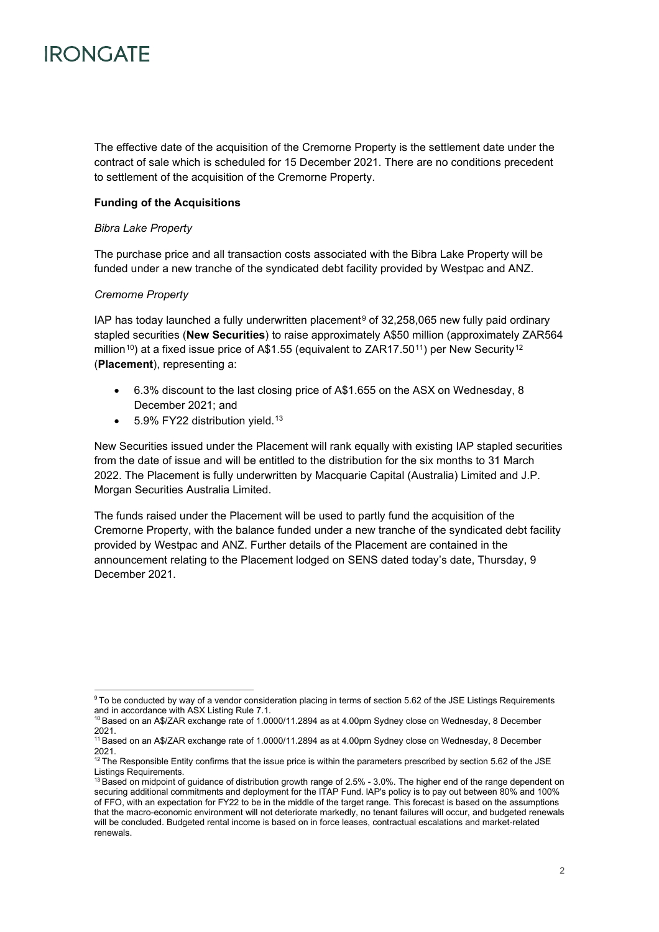The effective date of the acquisition of the Cremorne Property is the settlement date under the contract of sale which is scheduled for 15 December 2021. There are no conditions precedent to settlement of the acquisition of the Cremorne Property.

### **Funding of the Acquisitions**

### *Bibra Lake Property*

The purchase price and all transaction costs associated with the Bibra Lake Property will be funded under a new tranche of the syndicated debt facility provided by Westpac and ANZ.

## *Cremorne Property*

IAP has today launched a fully underwritten placement<sup>[9](#page-1-0)</sup> of  $32,258,065$  new fully paid ordinary stapled securities (**New Securities**) to raise approximately A\$50 million (approximately ZAR564 million<sup>[10](#page-1-1)</sup>) at a fixed issue price of A\$1.55 (equivalent to ZAR17.50<sup>[11](#page-1-2)</sup>) per New Security<sup>[12](#page-1-3)</sup> (**Placement**), representing a:

- 6.3% discount to the last closing price of A\$1.655 on the ASX on Wednesday, 8 December 2021; and
- 5.9% FY22 distribution yield.<sup>[13](#page-1-4)</sup>

New Securities issued under the Placement will rank equally with existing IAP stapled securities from the date of issue and will be entitled to the distribution for the six months to 31 March 2022. The Placement is fully underwritten by Macquarie Capital (Australia) Limited and J.P. Morgan Securities Australia Limited.

The funds raised under the Placement will be used to partly fund the acquisition of the Cremorne Property, with the balance funded under a new tranche of the syndicated debt facility provided by Westpac and ANZ. Further details of the Placement are contained in the announcement relating to the Placement lodged on SENS dated today's date, Thursday, 9 December 2021.

<span id="page-1-0"></span><sup>&</sup>lt;sup>9</sup> To be conducted by way of a vendor consideration placing in terms of section 5.62 of the JSE Listings Requirements and in accordance with ASX Listing Rule 7.1.

<span id="page-1-1"></span><sup>10</sup> Based on an A\$/ZAR exchange rate of 1.0000/11.2894 as at 4.00pm Sydney close on Wednesday, 8 December 2021.

<span id="page-1-2"></span><sup>11</sup> Based on an A\$/ZAR exchange rate of 1.0000/11.2894 as at 4.00pm Sydney close on Wednesday, 8 December 2021.

<span id="page-1-3"></span> $12$  The Responsible Entity confirms that the issue price is within the parameters prescribed by section 5.62 of the JSE Listings Requirements.

<span id="page-1-4"></span><sup>13</sup> Based on midpoint of guidance of distribution growth range of 2.5% - 3.0%. The higher end of the range dependent on securing additional commitments and deployment for the ITAP Fund. lAP's policy is to pay out between 80% and 100% of FFO, with an expectation for FY22 to be in the middle of the target range. This forecast is based on the assumptions that the macro-economic environment will not deteriorate markedly, no tenant failures will occur, and budgeted renewals will be concluded. Budgeted rental income is based on in force leases, contractual escalations and market-related renewals.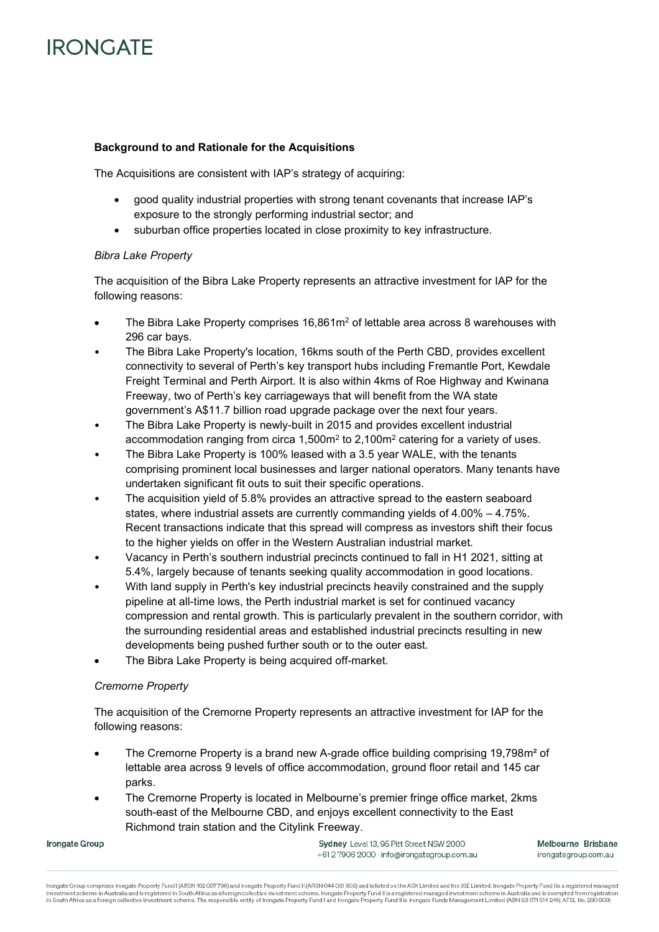### **Background to and Rationale for the Acquisitions**

The Acquisitions are consistent with IAP's strategy of acquiring:

- good quality industrial properties with strong tenant covenants that increase IAP's exposure to the strongly performing industrial sector; and
- suburban office properties located in close proximity to key infrastructure.

### *Bibra Lake Property*

The acquisition of the Bibra Lake Property represents an attractive investment for IAP for the following reasons:

- The Bibra Lake Property comprises 16,861m<sup>2</sup> of lettable area across 8 warehouses with 296 car bays.
- The Bibra Lake Property's location, 16kms south of the Perth CBD, provides excellent connectivity to several of Perth's key transport hubs including Fremantle Port, Kewdale Freight Terminal and Perth Airport. It is also within 4kms of Roe Highway and Kwinana Freeway, two of Perth's key carriageways that will benefit from the WA state government's A\$11.7 billion road upgrade package over the next four years.
- The Bibra Lake Property is newly-built in 2015 and provides excellent industrial accommodation ranging from circa  $1,500m^2$  to  $2,100m^2$  catering for a variety of uses.
- The Bibra Lake Property is 100% leased with a 3.5 year WALE, with the tenants comprising prominent local businesses and larger national operators. Many tenants have undertaken significant fit outs to suit their specific operations.
- The acquisition yield of 5.8% provides an attractive spread to the eastern seaboard states, where industrial assets are currently commanding yields of 4.00% – 4.75%. Recent transactions indicate that this spread will compress as investors shift their focus to the higher yields on offer in the Western Australian industrial market.
- Vacancy in Perth's southern industrial precincts continued to fall in H1 2021, sitting at 5.4%, largely because of tenants seeking quality accommodation in good locations.
- With land supply in Perth's key industrial precincts heavily constrained and the supply pipeline at all-time lows, the Perth industrial market is set for continued vacancy compression and rental growth. This is particularly prevalent in the southern corridor, with the surrounding residential areas and established industrial precincts resulting in new developments being pushed further south or to the outer east.
- The Bibra Lake Property is being acquired off-market.

#### *Cremorne Property*

The acquisition of the Cremorne Property represents an attractive investment for IAP for the following reasons:

- The Cremorne Property is a brand new A-grade office building comprising 19,798m² of lettable area across 9 levels of office accommodation, ground floor retail and 145 car parks.
- The Cremorne Property is located in Melbourne's premier fringe office market, 2kms south-east of the Melbourne CBD, and enjoys excellent connectivity to the East Richmond train station and the Citylink Freeway.

Irongate Group

Sydney Level 13, 95 Pitt Street NSW 2000 +6127906 2000 info@irongategroup.com.au Melbourne Brisbane irongategroup.com.au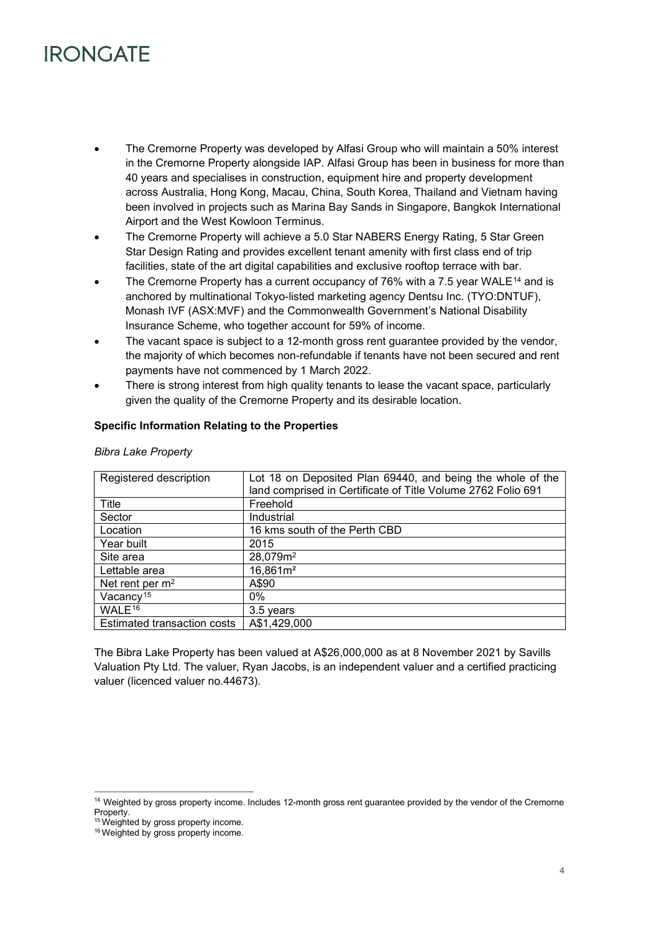- The Cremorne Property was developed by Alfasi Group who will maintain a 50% interest in the Cremorne Property alongside IAP. Alfasi Group has been in business for more than 40 years and specialises in construction, equipment hire and property development across Australia, Hong Kong, Macau, China, South Korea, Thailand and Vietnam having been involved in projects such as Marina Bay Sands in Singapore, Bangkok International Airport and the West Kowloon Terminus.
- The Cremorne Property will achieve a 5.0 Star NABERS Energy Rating, 5 Star Green Star Design Rating and provides excellent tenant amenity with first class end of trip facilities, state of the art digital capabilities and exclusive rooftop terrace with bar.
- The Cremorne Property has a current occupancy of  $76\%$  with a 7.5 year WALE<sup>[14](#page-3-0)</sup> and is anchored by multinational Tokyo-listed marketing agency Dentsu Inc. (TYO:DNTUF), Monash IVF (ASX:MVF) and the Commonwealth Government's National Disability Insurance Scheme, who together account for 59% of income.
- The vacant space is subject to a 12-month gross rent guarantee provided by the vendor, the majority of which becomes non-refundable if tenants have not been secured and rent payments have not commenced by 1 March 2022.
- There is strong interest from high quality tenants to lease the vacant space, particularly given the quality of the Cremorne Property and its desirable location.

## **Specific Information Relating to the Properties**

| Registered description      | Lot 18 on Deposited Plan 69440, and being the whole of the<br>land comprised in Certificate of Title Volume 2762 Folio 691 |
|-----------------------------|----------------------------------------------------------------------------------------------------------------------------|
| Title                       | Freehold                                                                                                                   |
| Sector                      | Industrial                                                                                                                 |
| Location                    | 16 kms south of the Perth CBD                                                                                              |
| Year built                  | 2015                                                                                                                       |
| Site area                   | 28,079m <sup>2</sup>                                                                                                       |
| Lettable area               | 16,861m <sup>2</sup>                                                                                                       |
| Net rent per m <sup>2</sup> | A\$90                                                                                                                      |
| Vacancy <sup>15</sup>       | $0\%$                                                                                                                      |
| WALE <sup>16</sup>          | 3.5 years                                                                                                                  |
| Estimated transaction costs | A\$1,429,000                                                                                                               |

#### *Bibra Lake Property*

The Bibra Lake Property has been valued at A\$26,000,000 as at 8 November 2021 by Savills Valuation Pty Ltd. The valuer, Ryan Jacobs, is an independent valuer and a certified practicing valuer (licenced valuer no.44673).

<span id="page-3-0"></span><sup>&</sup>lt;sup>14</sup> Weighted by gross property income. Includes 12-month gross rent guarantee provided by the vendor of the Cremorne Property.

<span id="page-3-1"></span><sup>&</sup>lt;sup>15</sup> Weighted by gross property income.

<span id="page-3-2"></span><sup>&</sup>lt;sup>16</sup> Weighted by gross property income.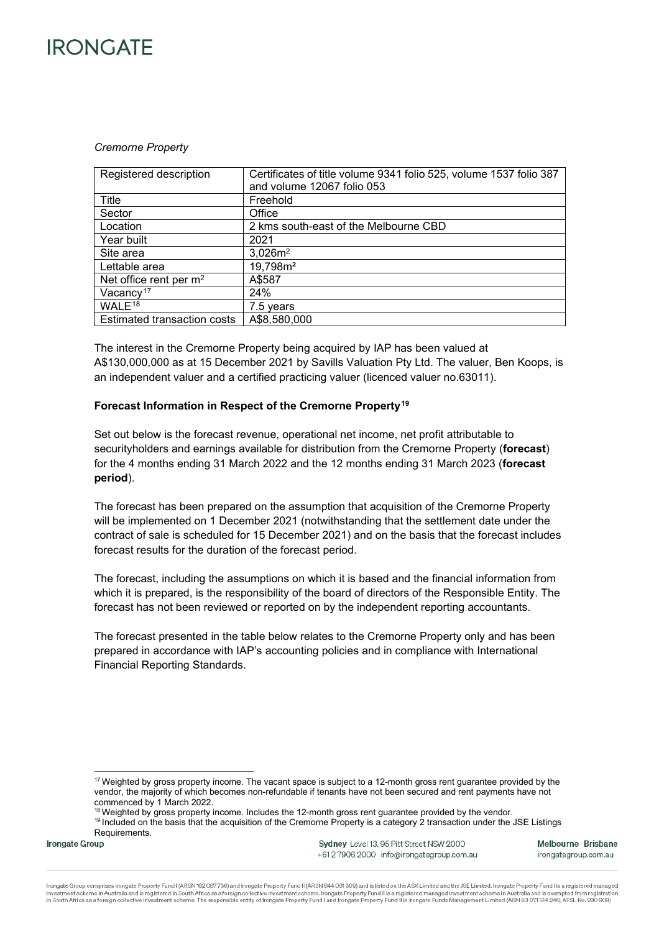| <b>Cremorne Property</b> |  |
|--------------------------|--|
|--------------------------|--|

| Registered description             | Certificates of title volume 9341 folio 525, volume 1537 folio 387<br>and volume 12067 folio 053 |
|------------------------------------|--------------------------------------------------------------------------------------------------|
| Title                              | Freehold                                                                                         |
| Sector                             | Office                                                                                           |
| Location                           | 2 kms south-east of the Melbourne CBD                                                            |
| Year built                         | 2021                                                                                             |
| Site area                          | 3,026m <sup>2</sup>                                                                              |
| Lettable area                      | 19,798m <sup>2</sup>                                                                             |
| Net office rent per m <sup>2</sup> | A\$587                                                                                           |
| Vacancy <sup>17</sup>              | 24%                                                                                              |
| WALE <sup>18</sup>                 | 7.5 years                                                                                        |
| Estimated transaction costs        | A\$8,580,000                                                                                     |

The interest in the Cremorne Property being acquired by IAP has been valued at A\$130,000,000 as at 15 December 2021 by Savills Valuation Pty Ltd. The valuer, Ben Koops, is an independent valuer and a certified practicing valuer (licenced valuer no.63011).

## **Forecast Information in Respect of the Cremorne Property[19](#page-4-2)**

Set out below is the forecast revenue, operational net income, net profit attributable to securityholders and earnings available for distribution from the Cremorne Property (**forecast**) for the 4 months ending 31 March 2022 and the 12 months ending 31 March 2023 (**forecast period**).

The forecast has been prepared on the assumption that acquisition of the Cremorne Property will be implemented on 1 December 2021 (notwithstanding that the settlement date under the contract of sale is scheduled for 15 December 2021) and on the basis that the forecast includes forecast results for the duration of the forecast period.

The forecast, including the assumptions on which it is based and the financial information from which it is prepared, is the responsibility of the board of directors of the Responsible Entity. The forecast has not been reviewed or reported on by the independent reporting accountants.

The forecast presented in the table below relates to the Cremorne Property only and has been prepared in accordance with IAP's accounting policies and in compliance with International Financial Reporting Standards.

<span id="page-4-2"></span><span id="page-4-1"></span><span id="page-4-0"></span>Irongate Group

Sydney Level 13, 95 Pitt Street NSW 2000 +612 7906 2000 info@irongategroup.com.au

Melbourne Brisbane irongategroup.com.au

<sup>&</sup>lt;sup>17</sup> Weighted by gross property income. The vacant space is subject to a 12-month gross rent guarantee provided by the vendor, the majority of which becomes non-refundable if tenants have not been secured and rent payments have not commenced by 1 March 2022.

<sup>&</sup>lt;sup>18</sup> Weighted by gross property income. Includes the 12-month gross rent guarantee provided by the vendor.

<sup>19</sup> Included on the basis that the acquisition of the Cremorne Property is a category 2 transaction under the JSE Listings Requirements.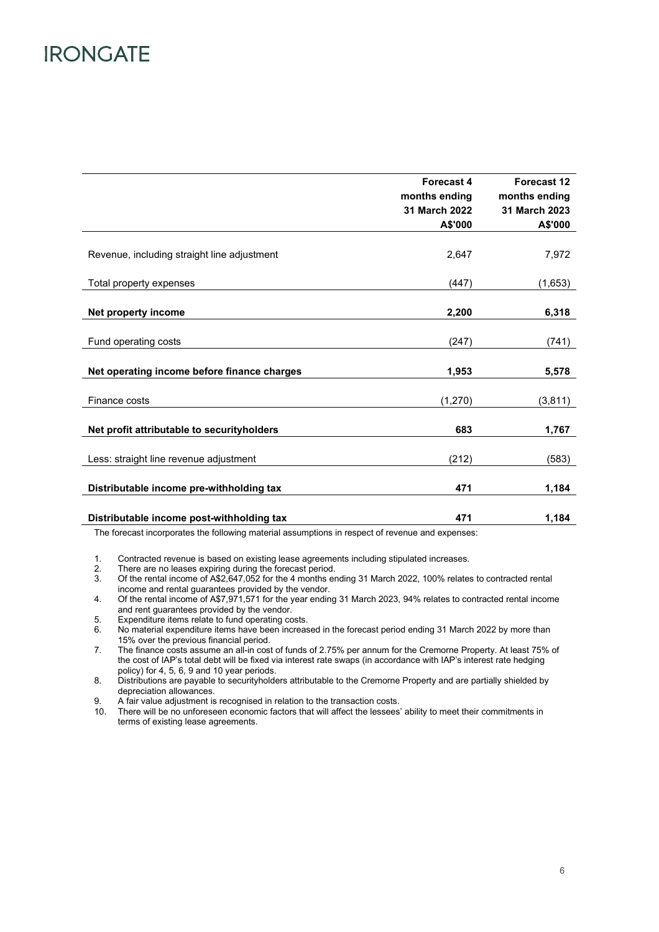|                                             | <b>Forecast 4</b><br>months ending<br>31 March 2022 | Forecast 12<br>months ending<br>31 March 2023 |
|---------------------------------------------|-----------------------------------------------------|-----------------------------------------------|
|                                             | A\$'000                                             | A\$'000                                       |
| Revenue, including straight line adjustment | 2,647                                               | 7,972                                         |
| Total property expenses                     | (447)                                               | (1,653)                                       |
| Net property income                         | 2,200                                               | 6,318                                         |
|                                             |                                                     |                                               |
| Fund operating costs                        | (247)                                               | (741)                                         |
| Net operating income before finance charges | 1,953                                               | 5,578                                         |
| Finance costs                               | (1,270)                                             | (3, 811)                                      |
| Net profit attributable to securityholders  | 683                                                 | 1,767                                         |
| Less: straight line revenue adjustment      | (212)                                               | (583)                                         |
| Distributable income pre-withholding tax    | 471                                                 | 1,184                                         |
| Distributable income post-withholding tax   | 471                                                 | 1,184                                         |

The forecast incorporates the following material assumptions in respect of revenue and expenses:

- 1. Contracted revenue is based on existing lease agreements including stipulated increases.<br>2. There are no leases expiring during the forecast period.
- 2. There are no leases expiring during the forecast period.<br>3. Of the rental income of A\$2.647.052 for the 4 months er
- 3. Of the rental income of A\$2,647,052 for the 4 months ending 31 March 2022, 100% relates to contracted rental income and rental guarantees provided by the vendor.
- 4. Of the rental income of A\$7,971,571 for the year ending 31 March 2023, 94% relates to contracted rental income and rent guarantees provided by the vendor.
- 5. Expenditure items relate to fund operating costs.<br>6. No material expenditure items have been increase
- 6. No material expenditure items have been increased in the forecast period ending 31 March 2022 by more than 15% over the previous financial period.
- 7. The finance costs assume an all-in cost of funds of 2.75% per annum for the Cremorne Property. At least 75% of the cost of IAP's total debt will be fixed via interest rate swaps (in accordance with IAP's interest rate hedging policy) for 4, 5, 6, 9 and 10 year periods.
- 8. Distributions are payable to securityholders attributable to the Cremorne Property and are partially shielded by depreciation allowances.
- 9. A fair value adjustment is recognised in relation to the transaction costs.
- There will be no unforeseen economic factors that will affect the lessees' ability to meet their commitments in terms of existing lease agreements.